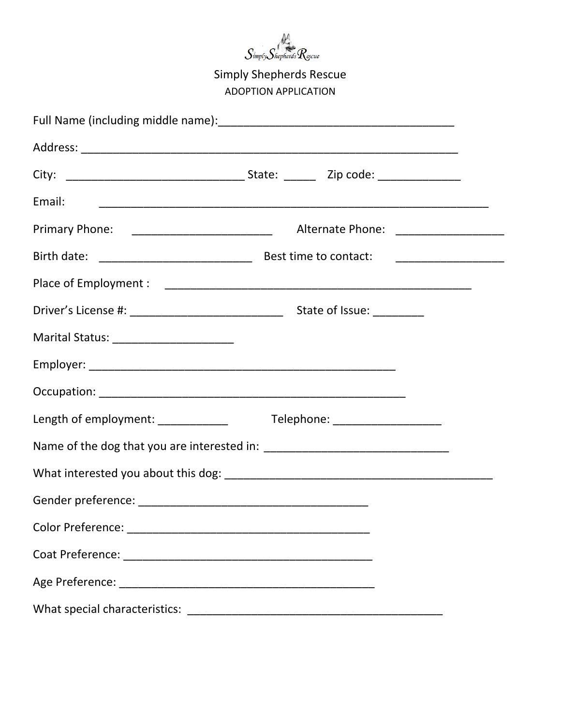

| Email:                                                                 |                                       |  |  |
|------------------------------------------------------------------------|---------------------------------------|--|--|
|                                                                        | Alternate Phone: ____________________ |  |  |
|                                                                        |                                       |  |  |
|                                                                        |                                       |  |  |
|                                                                        |                                       |  |  |
| Marital Status: _________________________                              |                                       |  |  |
|                                                                        |                                       |  |  |
|                                                                        |                                       |  |  |
| Length of employment: ____________<br>Telephone: _____________________ |                                       |  |  |
|                                                                        |                                       |  |  |
|                                                                        |                                       |  |  |
|                                                                        |                                       |  |  |
|                                                                        |                                       |  |  |
|                                                                        |                                       |  |  |
|                                                                        |                                       |  |  |
|                                                                        |                                       |  |  |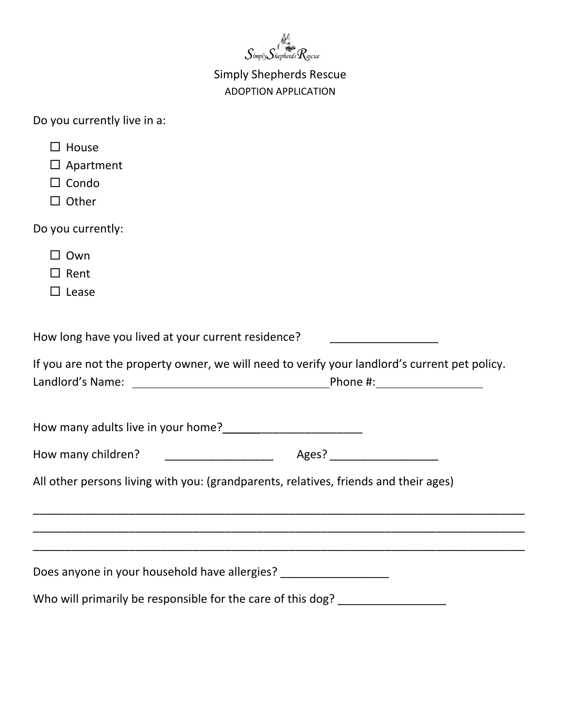

|  | Do you currently live in a: |  |  |
|--|-----------------------------|--|--|
|--|-----------------------------|--|--|

| $\Box$ House                                                       |                                                                                               |
|--------------------------------------------------------------------|-----------------------------------------------------------------------------------------------|
| $\Box$ Apartment                                                   |                                                                                               |
| $\Box$ Condo                                                       |                                                                                               |
| $\Box$ Other                                                       |                                                                                               |
| Do you currently:                                                  |                                                                                               |
| $\Box$ Own                                                         |                                                                                               |
| $\Box$ Rent                                                        |                                                                                               |
| $\Box$ Lease                                                       |                                                                                               |
|                                                                    |                                                                                               |
| How long have you lived at your current residence?                 |                                                                                               |
|                                                                    | If you are not the property owner, we will need to verify your landlord's current pet policy. |
| How many adults live in your home?<br><u> </u>                     |                                                                                               |
|                                                                    |                                                                                               |
|                                                                    | All other persons living with you: (grandparents, relatives, friends and their ages)          |
|                                                                    | <u> 1989 - Johann Stoff, amerikansk politiker (d. 1989)</u>                                   |
|                                                                    |                                                                                               |
| Does anyone in your household have allergies? ____________________ |                                                                                               |
|                                                                    | Who will primarily be responsible for the care of this dog? ____________________              |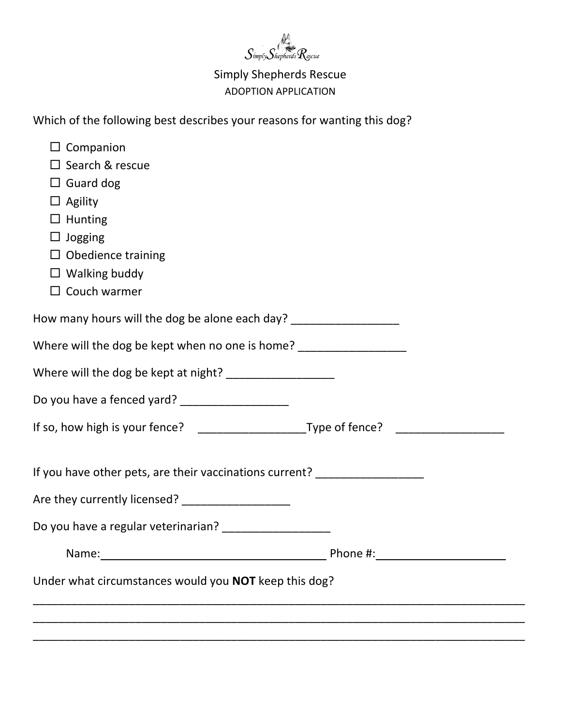

Which of the following best describes your reasons for wanting this dog?

| $\Box$ Companion                                                                 |                            |
|----------------------------------------------------------------------------------|----------------------------|
| $\Box$ Search & rescue                                                           |                            |
| $\Box$ Guard dog                                                                 |                            |
| $\Box$ Agility                                                                   |                            |
| $\Box$ Hunting                                                                   |                            |
| $\Box$ Jogging                                                                   |                            |
| $\Box$ Obedience training                                                        |                            |
| $\Box$ Walking buddy                                                             |                            |
| $\Box$ Couch warmer                                                              |                            |
| How many hours will the dog be alone each day? _________________________________ |                            |
| Where will the dog be kept when no one is home? ___________________              |                            |
| Where will the dog be kept at night? ____________________                        |                            |
|                                                                                  |                            |
|                                                                                  |                            |
| If you have other pets, are their vaccinations current? ________________________ |                            |
| Are they currently licensed? ___________________                                 |                            |
|                                                                                  |                            |
| Name:                                                                            | Phone #: New York Phone #: |
| Under what circumstances would you <b>NOT</b> keep this dog?                     |                            |
|                                                                                  |                            |
|                                                                                  |                            |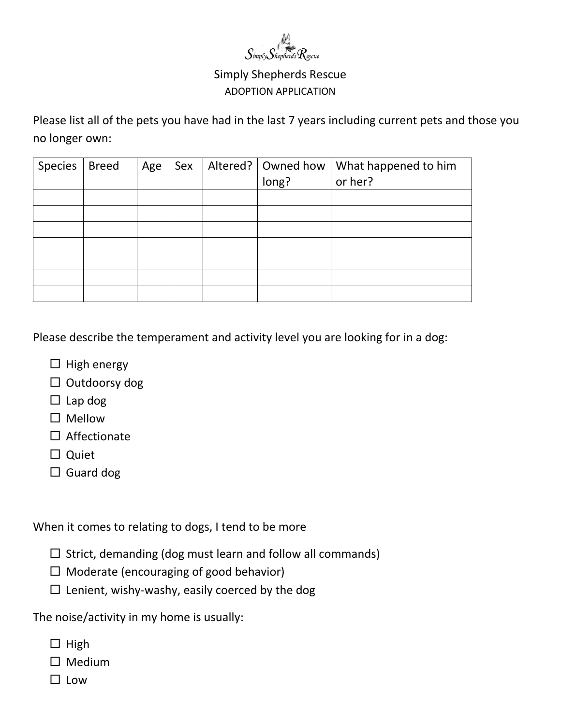

Please list all of the pets you have had in the last 7 years including current pets and those you no longer own:

| Species | <b>Breed</b> | Age | Sex |       | Altered? $\vert$ Owned how $\vert$ What happened to him |
|---------|--------------|-----|-----|-------|---------------------------------------------------------|
|         |              |     |     | long? | or her?                                                 |
|         |              |     |     |       |                                                         |
|         |              |     |     |       |                                                         |
|         |              |     |     |       |                                                         |
|         |              |     |     |       |                                                         |
|         |              |     |     |       |                                                         |
|         |              |     |     |       |                                                         |
|         |              |     |     |       |                                                         |

Please describe the temperament and activity level you are looking for in a dog:

- $\Box$  High energy
- $\square$  Outdoorsy dog
- $\square$  Lap dog
- $\square$  Mellow
- $\square$  Affectionate
- $\Box$  Quiet
- $\Box$  Guard dog

When it comes to relating to dogs, I tend to be more

- $\Box$  Strict, demanding (dog must learn and follow all commands)
- $\Box$  Moderate (encouraging of good behavior)
- $\square$  Lenient, wishy-washy, easily coerced by the dog

The noise/activity in my home is usually:

- $\Box$  High
- $\square$  Medium
- $\square$  Low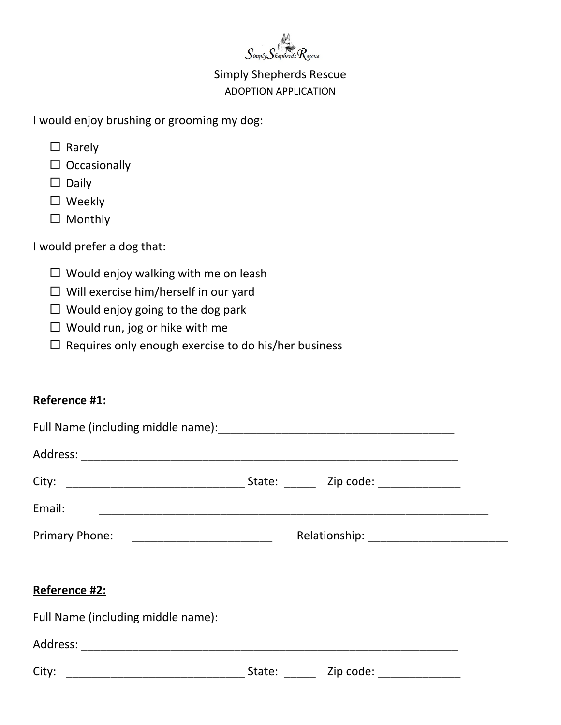

I would enjoy brushing or grooming my dog:

- $\Box$  Rarely
- $\square$  Occasionally
- $\square$  Daily
- □ Weekly
- □ Monthly

I would prefer a dog that:

- $\square$  Would enjoy walking with me on leash
- $\Box$  Will exercise him/herself in our yard
- $\Box$  Would enjoy going to the dog park
- $\Box$  Would run, jog or hike with me
- $\Box$  Requires only enough exercise to do his/her business

### **Reference #1:**

| Reference #2: |  |  |  |  |
|---------------|--|--|--|--|
|               |  |  |  |  |
|               |  |  |  |  |
|               |  |  |  |  |